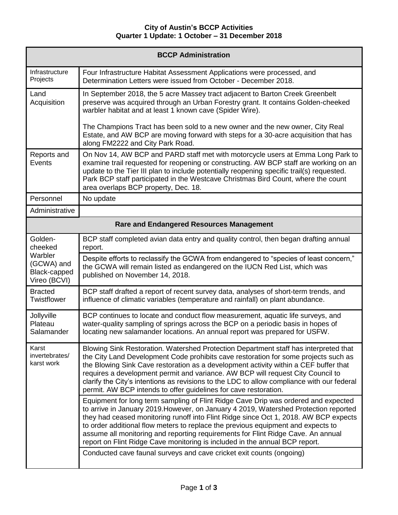## **City of Austin's BCCP Activities Quarter 1 Update: 1 October – 31 December 2018**

| <b>BCCP Administration</b>                                                  |                                                                                                                                                                                                                                                                                                                                                                                                                                                                                                                           |  |
|-----------------------------------------------------------------------------|---------------------------------------------------------------------------------------------------------------------------------------------------------------------------------------------------------------------------------------------------------------------------------------------------------------------------------------------------------------------------------------------------------------------------------------------------------------------------------------------------------------------------|--|
| Infrastructure<br>Projects                                                  | Four Infrastructure Habitat Assessment Applications were processed, and<br>Determination Letters were issued from October - December 2018.                                                                                                                                                                                                                                                                                                                                                                                |  |
| Land<br>Acquisition                                                         | In September 2018, the 5 acre Massey tract adjacent to Barton Creek Greenbelt<br>preserve was acquired through an Urban Forestry grant. It contains Golden-cheeked<br>warbler habitat and at least 1 known cave (Spider Wire).                                                                                                                                                                                                                                                                                            |  |
|                                                                             | The Champions Tract has been sold to a new owner and the new owner, City Real<br>Estate, and AW BCP are moving forward with steps for a 30-acre acquisition that has<br>along FM2222 and City Park Road.                                                                                                                                                                                                                                                                                                                  |  |
| Reports and<br>Events                                                       | On Nov 14, AW BCP and PARD staff met with motorcycle users at Emma Long Park to<br>examine trail requested for reopening or constructing. AW BCP staff are working on an<br>update to the Tier III plan to include potentially reopening specific trail(s) requested.<br>Park BCP staff participated in the Westcave Christmas Bird Count, where the count<br>area overlaps BCP property, Dec. 18.                                                                                                                        |  |
| Personnel                                                                   | No update                                                                                                                                                                                                                                                                                                                                                                                                                                                                                                                 |  |
| Administrative                                                              |                                                                                                                                                                                                                                                                                                                                                                                                                                                                                                                           |  |
| <b>Rare and Endangered Resources Management</b>                             |                                                                                                                                                                                                                                                                                                                                                                                                                                                                                                                           |  |
| Golden-<br>cheeked<br>Warbler<br>(GCWA) and<br>Black-capped<br>Vireo (BCVI) | BCP staff completed avian data entry and quality control, then began drafting annual<br>report.                                                                                                                                                                                                                                                                                                                                                                                                                           |  |
|                                                                             | Despite efforts to reclassify the GCWA from endangered to "species of least concern,"<br>the GCWA will remain listed as endangered on the IUCN Red List, which was<br>published on November 14, 2018.                                                                                                                                                                                                                                                                                                                     |  |
| <b>Bracted</b><br>Twistflower                                               | BCP staff drafted a report of recent survey data, analyses of short-term trends, and<br>influence of climatic variables (temperature and rainfall) on plant abundance.                                                                                                                                                                                                                                                                                                                                                    |  |
| Jollyville<br>Plateau<br>Salamander                                         | BCP continues to locate and conduct flow measurement, aquatic life surveys, and<br>water-quality sampling of springs across the BCP on a periodic basis in hopes of<br>locating new salamander locations. An annual report was prepared for USFW.                                                                                                                                                                                                                                                                         |  |
| Karst<br>invertebrates/<br>karst work                                       | Blowing Sink Restoration. Watershed Protection Department staff has interpreted that<br>the City Land Development Code prohibits cave restoration for some projects such as<br>the Blowing Sink Cave restoration as a development activity within a CEF buffer that<br>requires a development permit and variance. AW BCP will request City Council to<br>clarify the City's intentions as revisions to the LDC to allow compliance with our federal<br>permit. AW BCP intends to offer guidelines for cave restoration.  |  |
|                                                                             | Equipment for long term sampling of Flint Ridge Cave Drip was ordered and expected<br>to arrive in January 2019. However, on January 4 2019, Watershed Protection reported<br>they had ceased monitoring runoff into Flint Ridge since Oct 1, 2018. AW BCP expects<br>to order additional flow meters to replace the previous equipment and expects to<br>assume all monitoring and reporting requirements for Flint Ridge Cave. An annual<br>report on Flint Ridge Cave monitoring is included in the annual BCP report. |  |
|                                                                             | Conducted cave faunal surveys and cave cricket exit counts (ongoing)                                                                                                                                                                                                                                                                                                                                                                                                                                                      |  |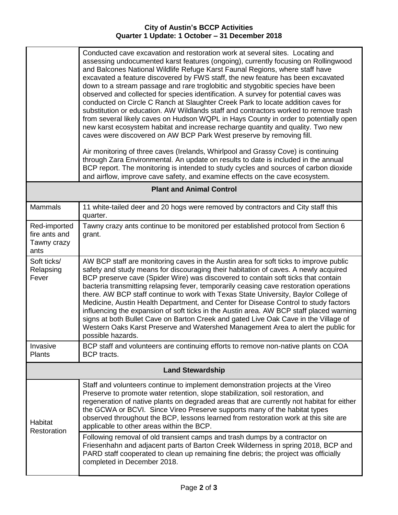Г

Т

|                                                      | Conducted cave excavation and restoration work at several sites. Locating and<br>assessing undocumented karst features (ongoing), currently focusing on Rollingwood<br>and Balcones National Wildlife Refuge Karst Faunal Regions, where staff have<br>excavated a feature discovered by FWS staff, the new feature has been excavated<br>down to a stream passage and rare troglobitic and stygobitic species have been<br>observed and collected for species identification. A survey for potential caves was<br>conducted on Circle C Ranch at Slaughter Creek Park to locate addition caves for<br>substitution or education. AW Wildlands staff and contractors worked to remove trash<br>from several likely caves on Hudson WQPL in Hays County in order to potentially open<br>new karst ecosystem habitat and increase recharge quantity and quality. Two new<br>caves were discovered on AW BCP Park West preserve by removing fill.<br>Air monitoring of three caves (Irelands, Whirlpool and Grassy Cove) is continuing<br>through Zara Environmental. An update on results to date is included in the annual<br>BCP report. The monitoring is intended to study cycles and sources of carbon dioxide<br>and airflow, improve cave safety, and examine effects on the cave ecosystem. |  |
|------------------------------------------------------|---------------------------------------------------------------------------------------------------------------------------------------------------------------------------------------------------------------------------------------------------------------------------------------------------------------------------------------------------------------------------------------------------------------------------------------------------------------------------------------------------------------------------------------------------------------------------------------------------------------------------------------------------------------------------------------------------------------------------------------------------------------------------------------------------------------------------------------------------------------------------------------------------------------------------------------------------------------------------------------------------------------------------------------------------------------------------------------------------------------------------------------------------------------------------------------------------------------------------------------------------------------------------------------------------|--|
| <b>Plant and Animal Control</b>                      |                                                                                                                                                                                                                                                                                                                                                                                                                                                                                                                                                                                                                                                                                                                                                                                                                                                                                                                                                                                                                                                                                                                                                                                                                                                                                                   |  |
| <b>Mammals</b>                                       | 11 white-tailed deer and 20 hogs were removed by contractors and City staff this<br>quarter.                                                                                                                                                                                                                                                                                                                                                                                                                                                                                                                                                                                                                                                                                                                                                                                                                                                                                                                                                                                                                                                                                                                                                                                                      |  |
| Red-imported<br>fire ants and<br>Tawny crazy<br>ants | Tawny crazy ants continue to be monitored per established protocol from Section 6<br>grant.                                                                                                                                                                                                                                                                                                                                                                                                                                                                                                                                                                                                                                                                                                                                                                                                                                                                                                                                                                                                                                                                                                                                                                                                       |  |
| Soft ticks/<br>Relapsing<br>Fever                    | AW BCP staff are monitoring caves in the Austin area for soft ticks to improve public<br>safety and study means for discouraging their habitation of caves. A newly acquired<br>BCP preserve cave (Spider Wire) was discovered to contain soft ticks that contain<br>bacteria transmitting relapsing fever, temporarily ceasing cave restoration operations<br>there. AW BCP staff continue to work with Texas State University, Baylor College of<br>Medicine, Austin Health Department, and Center for Disease Control to study factors<br>influencing the expansion of soft ticks in the Austin area. AW BCP staff placed warning<br>signs at both Bullet Cave on Barton Creek and gated Live Oak Cave in the Village of<br>Western Oaks Karst Preserve and Watershed Management Area to alert the public for<br>possible hazards.                                                                                                                                                                                                                                                                                                                                                                                                                                                             |  |
| Invasive<br><b>Plants</b>                            | BCP staff and volunteers are continuing efforts to remove non-native plants on COA<br>BCP tracts.                                                                                                                                                                                                                                                                                                                                                                                                                                                                                                                                                                                                                                                                                                                                                                                                                                                                                                                                                                                                                                                                                                                                                                                                 |  |
| <b>Land Stewardship</b>                              |                                                                                                                                                                                                                                                                                                                                                                                                                                                                                                                                                                                                                                                                                                                                                                                                                                                                                                                                                                                                                                                                                                                                                                                                                                                                                                   |  |
| Habitat<br>Restoration                               | Staff and volunteers continue to implement demonstration projects at the Vireo<br>Preserve to promote water retention, slope stabilization, soil restoration, and<br>regeneration of native plants on degraded areas that are currently not habitat for either<br>the GCWA or BCVI. Since Vireo Preserve supports many of the habitat types<br>observed throughout the BCP, lessons learned from restoration work at this site are<br>applicable to other areas within the BCP.                                                                                                                                                                                                                                                                                                                                                                                                                                                                                                                                                                                                                                                                                                                                                                                                                   |  |
|                                                      | Following removal of old transient camps and trash dumps by a contractor on<br>Friesenhahn and adjacent parts of Barton Creek Wilderness in spring 2018, BCP and<br>PARD staff cooperated to clean up remaining fine debris; the project was officially<br>completed in December 2018.                                                                                                                                                                                                                                                                                                                                                                                                                                                                                                                                                                                                                                                                                                                                                                                                                                                                                                                                                                                                            |  |